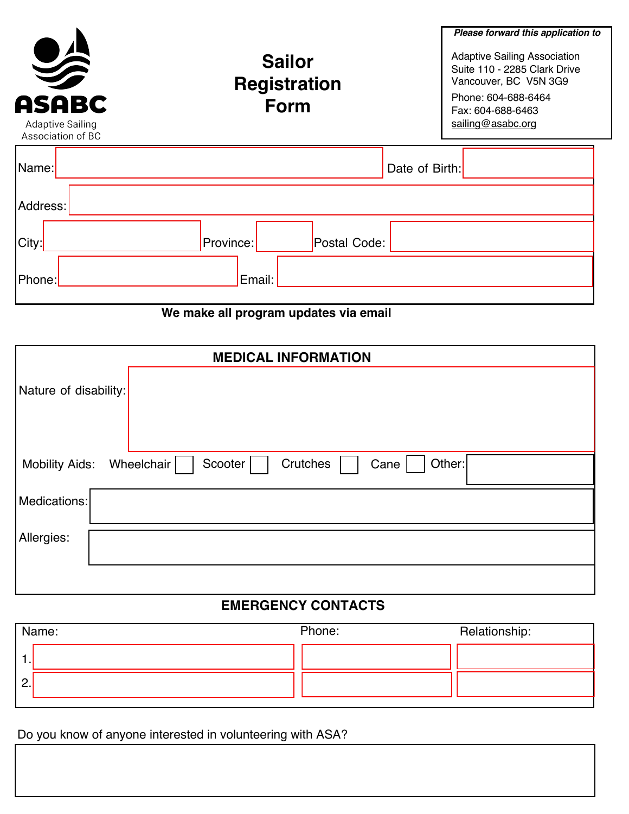| <b>ASABC</b><br><b>Adaptive Sailing</b><br>Association of BC | <b>Sailor</b><br><b>Registration</b><br><b>Form</b> | Please forward this application to<br><b>Adaptive Sailing Association</b><br>Suite 110 - 2285 Clark Drive<br>Vancouver, BC V5N 3G9<br>Phone: 604-688-6464<br>Fax: 604-688-6463<br>sailing@asabc.org |
|--------------------------------------------------------------|-----------------------------------------------------|-----------------------------------------------------------------------------------------------------------------------------------------------------------------------------------------------------|
| Name:                                                        |                                                     | Date of Birth:                                                                                                                                                                                      |
| Address:                                                     |                                                     |                                                                                                                                                                                                     |
| City:                                                        | Postal Code:<br>Province:                           |                                                                                                                                                                                                     |
| ∣Phone:                                                      | Email:                                              |                                                                                                                                                                                                     |

# **We make all program updates via email**

| <b>MEDICAL INFORMATION</b>                                                   |  |  |  |  |
|------------------------------------------------------------------------------|--|--|--|--|
| Nature of disability:                                                        |  |  |  |  |
| Crutches<br>Scooter<br>Other:<br>Wheelchair<br>Cane<br><b>Mobility Aids:</b> |  |  |  |  |
| Medications:                                                                 |  |  |  |  |
| Allergies:                                                                   |  |  |  |  |
|                                                                              |  |  |  |  |

## **EMERGENCY CONTACTS**

|    | Name: | Phone: | Relationship: |
|----|-------|--------|---------------|
|    |       |        |               |
| Ζ. |       |        |               |
|    |       |        |               |

Do you know of anyone interested in volunteering with ASA?